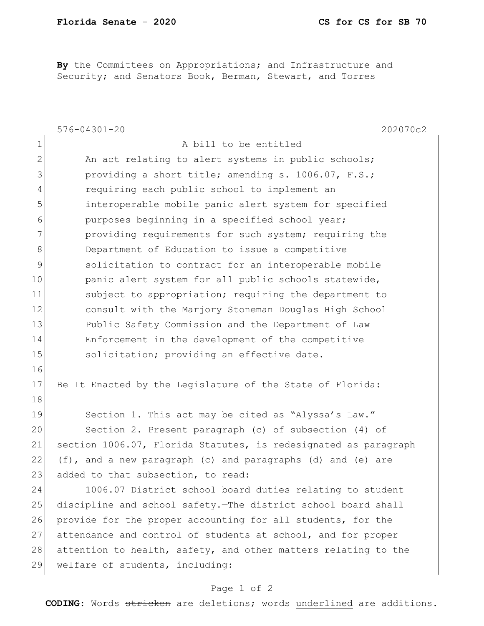**By** the Committees on Appropriations; and Infrastructure and Security; and Senators Book, Berman, Stewart, and Torres

|                | $576 - 04301 - 20$<br>202070c2                                  |
|----------------|-----------------------------------------------------------------|
| $\mathbf 1$    | A bill to be entitled                                           |
| $\overline{2}$ | An act relating to alert systems in public schools;             |
| 3              | providing a short title; amending s. 1006.07, F.S.;             |
| $\overline{4}$ | requiring each public school to implement an                    |
| 5              | interoperable mobile panic alert system for specified           |
| 6              | purposes beginning in a specified school year;                  |
| 7              | providing requirements for such system; requiring the           |
| 8              | Department of Education to issue a competitive                  |
| 9              | solicitation to contract for an interoperable mobile            |
| 10             | panic alert system for all public schools statewide,            |
| 11             | subject to appropriation; requiring the department to           |
| 12             | consult with the Marjory Stoneman Douglas High School           |
| 13             | Public Safety Commission and the Department of Law              |
| 14             | Enforcement in the development of the competitive               |
| 15             | solicitation; providing an effective date.                      |
| 16             |                                                                 |
| 17             | Be It Enacted by the Legislature of the State of Florida:       |
| 18             |                                                                 |
| 19             | Section 1. This act may be cited as "Alyssa's Law."             |
| 20             | Section 2. Present paragraph (c) of subsection (4) of           |
| 21             | section 1006.07, Florida Statutes, is redesignated as paragraph |
| 22             | (f), and a new paragraph (c) and paragraphs (d) and (e) are     |
| 23             | added to that subsection, to read:                              |
| 24             | 1006.07 District school board duties relating to student        |
| 25             | discipline and school safety. The district school board shall   |
| 26             | provide for the proper accounting for all students, for the     |
| 27             | attendance and control of students at school, and for proper    |
| 28             | attention to health, safety, and other matters relating to the  |
| 29             | welfare of students, including:                                 |

## Page 1 of 2

**CODING**: Words stricken are deletions; words underlined are additions.